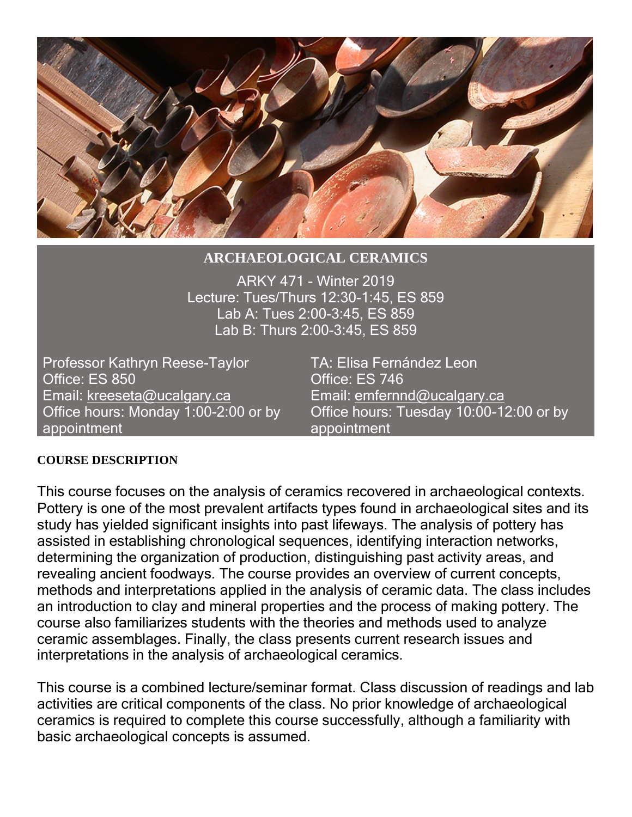

## **ARCHAEOLOGICAL CERAMICS**

ARKY 471 - Winter 2019 Lecture: Tues/Thurs 12:30-1:45, ES 859 Lab A: Tues 2:00-3:45, ES 859 Lab B: Thurs 2:00-3:45, ES 859

Professor Kathryn Reese-Taylor TA: Elisa Fernández Leon Office: ES 850 Office: ES 746 Email: [kreeseta@ucalgary.ca](mailto:kreeseta@ucalgary.ca) Email: [emfernnd@ucalgary.ca](mailto:emfernnd@ucalgary.ca) Office hours: Monday 1:00-2:00 or by appointment

Office hours: Tuesday 10:00-12:00 or by appointment

### **COURSE DESCRIPTION**

This course focuses on the analysis of ceramics recovered in archaeological contexts. Pottery is one of the most prevalent artifacts types found in archaeological sites and its study has yielded significant insights into past lifeways. The analysis of pottery has assisted in establishing chronological sequences, identifying interaction networks, determining the organization of production, distinguishing past activity areas, and revealing ancient foodways. The course provides an overview of current concepts, methods and interpretations applied in the analysis of ceramic data. The class includes an introduction to clay and mineral properties and the process of making pottery. The course also familiarizes students with the theories and methods used to analyze ceramic assemblages. Finally, the class presents current research issues and interpretations in the analysis of archaeological ceramics.

This course is a combined lecture/seminar format. Class discussion of readings and lab activities are critical components of the class. No prior knowledge of archaeological ceramics is required to complete this course successfully, although a familiarity with basic archaeological concepts is assumed.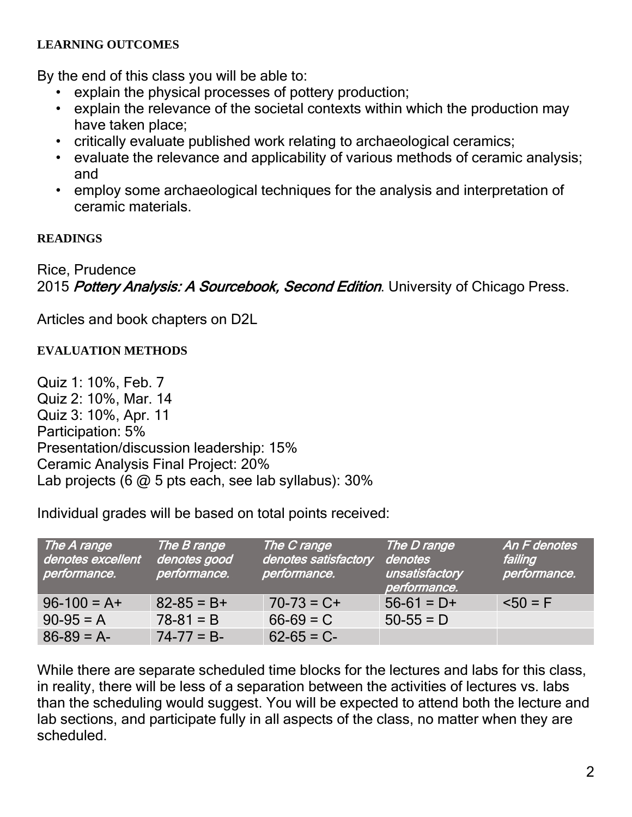## **LEARNING OUTCOMES**

By the end of this class you will be able to:

- explain the physical processes of pottery production;
- explain the relevance of the societal contexts within which the production may have taken place;
- critically evaluate published work relating to archaeological ceramics;
- evaluate the relevance and applicability of various methods of ceramic analysis; and
- employ some archaeological techniques for the analysis and interpretation of ceramic materials.

# **READINGS**

Rice, Prudence 2015 Pottery Analysis: A Sourcebook, Second Edition. University of Chicago Press.

Articles and book chapters on D2L

# **EVALUATION METHODS**

Quiz 1: 10%, Feb. 7 Quiz 2: 10%, Mar. 14 Quiz 3: 10%, Apr. 11 Participation: 5% Presentation/discussion leadership: 15% Ceramic Analysis Final Project: 20% Lab projects (6  $@$  5 pts each, see lab syllabus): 30%

Individual grades will be based on total points received:

| The A range<br>denotes excellent<br>performance. | The B range<br>denotes good<br>performance. | The C range<br>denotes satisfactory<br>performance. | The D range<br>denotes<br>unsatisfactory<br>performance. | An F denotes<br>failing<br>performance. |
|--------------------------------------------------|---------------------------------------------|-----------------------------------------------------|----------------------------------------------------------|-----------------------------------------|
| $96 - 100 = A +$                                 | $82 - 85 = B +$                             | $70-73 = C+$                                        | $56-61 = D+$                                             | $50 = F$                                |
| $90-95 = A$                                      | $78-81 = B$                                 | $66-69 = C$                                         | $50-55 = D$                                              |                                         |
| $86-89 = A$                                      | $74 - 77 = B$                               | $62 - 65 = C$                                       |                                                          |                                         |

While there are separate scheduled time blocks for the lectures and labs for this class, in reality, there will be less of a separation between the activities of lectures vs. labs than the scheduling would suggest. You will be expected to attend both the lecture and lab sections, and participate fully in all aspects of the class, no matter when they are scheduled.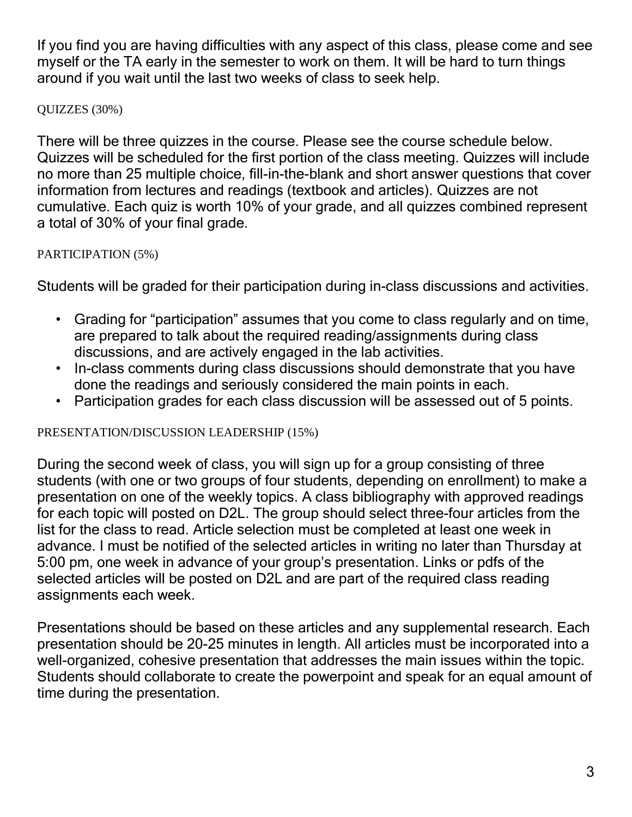If you find you are having difficulties with any aspect of this class, please come and see myself or the TA early in the semester to work on them. It will be hard to turn things around if you wait until the last two weeks of class to seek help.

QUIZZES (30%)

There will be three quizzes in the course. Please see the course schedule below. Quizzes will be scheduled for the first portion of the class meeting. Quizzes will include no more than 25 multiple choice, fill-in-the-blank and short answer questions that cover information from lectures and readings (textbook and articles). Quizzes are not cumulative. Each quiz is worth 10% of your grade, and all quizzes combined represent a total of 30% of your final grade.

# PARTICIPATION (5%)

Students will be graded for their participation during in-class discussions and activities.

- Grading for "participation" assumes that you come to class regularly and on time, are prepared to talk about the required reading/assignments during class discussions, and are actively engaged in the lab activities.
- In-class comments during class discussions should demonstrate that you have done the readings and seriously considered the main points in each.
- Participation grades for each class discussion will be assessed out of 5 points.

# PRESENTATION/DISCUSSION LEADERSHIP (15%)

During the second week of class, you will sign up for a group consisting of three students (with one or two groups of four students, depending on enrollment) to make a presentation on one of the weekly topics. A class bibliography with approved readings for each topic will posted on D2L. The group should select three-four articles from the list for the class to read. Article selection must be completed at least one week in advance. I must be notified of the selected articles in writing no later than Thursday at 5:00 pm, one week in advance of your group's presentation. Links or pdfs of the selected articles will be posted on D2L and are part of the required class reading assignments each week.

Presentations should be based on these articles and any supplemental research. Each presentation should be 20-25 minutes in length. All articles must be incorporated into a well-organized, cohesive presentation that addresses the main issues within the topic. Students should collaborate to create the powerpoint and speak for an equal amount of time during the presentation.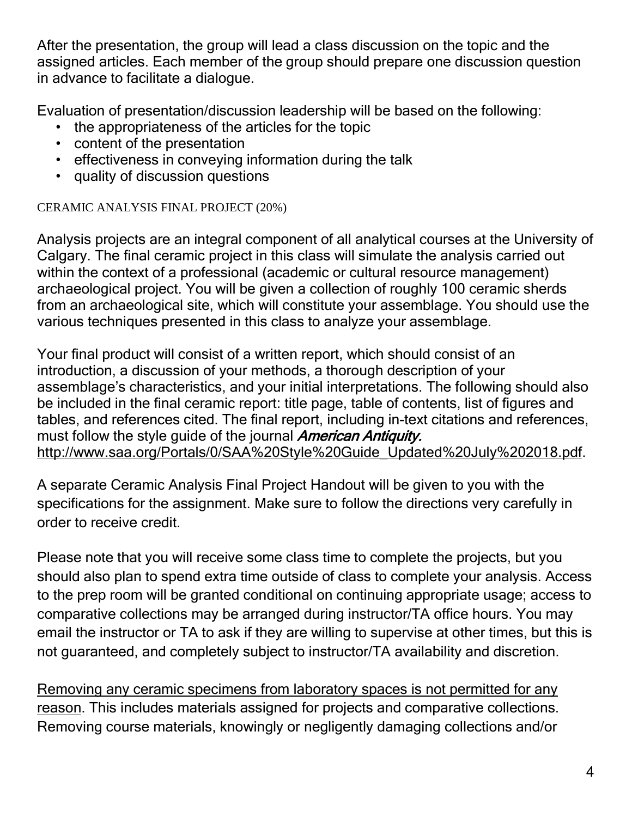After the presentation, the group will lead a class discussion on the topic and the assigned articles. Each member of the group should prepare one discussion question in advance to facilitate a dialogue.

Evaluation of presentation/discussion leadership will be based on the following:

- the appropriateness of the articles for the topic
- content of the presentation
- effectiveness in conveying information during the talk
- quality of discussion questions

CERAMIC ANALYSIS FINAL PROJECT (20%)

Analysis projects are an integral component of all analytical courses at the University of Calgary. The final ceramic project in this class will simulate the analysis carried out within the context of a professional (academic or cultural resource management) archaeological project. You will be given a collection of roughly 100 ceramic sherds from an archaeological site, which will constitute your assemblage. You should use the various techniques presented in this class to analyze your assemblage.

Your final product will consist of a written report, which should consist of an introduction, a discussion of your methods, a thorough description of your assemblage's characteristics, and your initial interpretations. The following should also be included in the final ceramic report: title page, table of contents, list of figures and tables, and references cited. The final report, including in-text citations and references, must follow the style guide of the journal American Antiquity. [http://www.saa.org/Portals/0/SAA%20Style%20Guide\\_Updated%20July%202018.pdf.](http://www.saa.org/Portals/0/SAA%20Style%20Guide_Updated%20July%202018.pdf)

A separate Ceramic Analysis Final Project Handout will be given to you with the specifications for the assignment. Make sure to follow the directions very carefully in order to receive credit.

Please note that you will receive some class time to complete the projects, but you should also plan to spend extra time outside of class to complete your analysis. Access to the prep room will be granted conditional on continuing appropriate usage; access to comparative collections may be arranged during instructor/TA office hours. You may email the instructor or TA to ask if they are willing to supervise at other times, but this is not guaranteed, and completely subject to instructor/TA availability and discretion.

Removing any ceramic specimens from laboratory spaces is not permitted for any reason. This includes materials assigned for projects and comparative collections. Removing course materials, knowingly or negligently damaging collections and/or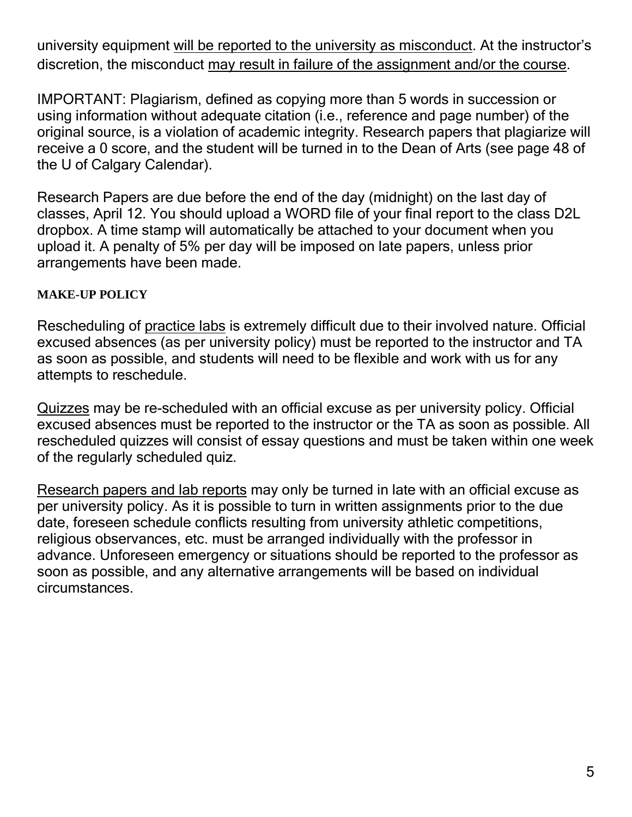university equipment will be reported to the university as misconduct. At the instructor's discretion, the misconduct may result in failure of the assignment and/or the course.

IMPORTANT: Plagiarism, defined as copying more than 5 words in succession or using information without adequate citation (i.e., reference and page number) of the original source, is a violation of academic integrity. Research papers that plagiarize will receive a 0 score, and the student will be turned in to the Dean of Arts (see page 48 of the U of Calgary Calendar).

Research Papers are due before the end of the day (midnight) on the last day of classes, April 12. You should upload a WORD file of your final report to the class D2L dropbox. A time stamp will automatically be attached to your document when you upload it. A penalty of 5% per day will be imposed on late papers, unless prior arrangements have been made.

# **MAKE-UP POLICY**

Rescheduling of practice labs is extremely difficult due to their involved nature. Official excused absences (as per university policy) must be reported to the instructor and TA as soon as possible, and students will need to be flexible and work with us for any attempts to reschedule.

Quizzes may be re-scheduled with an official excuse as per university policy. Official excused absences must be reported to the instructor or the TA as soon as possible. All rescheduled quizzes will consist of essay questions and must be taken within one week of the regularly scheduled quiz.

Research papers and lab reports may only be turned in late with an official excuse as per university policy. As it is possible to turn in written assignments prior to the due date, foreseen schedule conflicts resulting from university athletic competitions, religious observances, etc. must be arranged individually with the professor in advance. Unforeseen emergency or situations should be reported to the professor as soon as possible, and any alternative arrangements will be based on individual circumstances.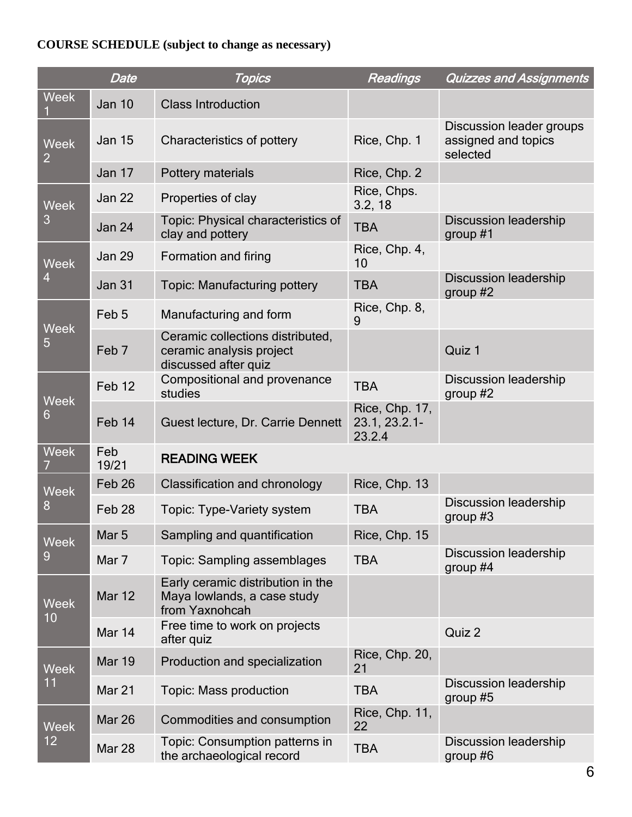# **COURSE SCHEDULE (subject to change as necessary)**

|                               | Date              | <b>Topics</b>                                                                        | <b>Readings</b>                           | <b>Quizzes and Assignments</b>                              |
|-------------------------------|-------------------|--------------------------------------------------------------------------------------|-------------------------------------------|-------------------------------------------------------------|
| <b>Week</b>                   | <b>Jan 10</b>     | <b>Class Introduction</b>                                                            |                                           |                                                             |
| <b>Week</b><br>$\overline{2}$ | <b>Jan 15</b>     | Characteristics of pottery                                                           | Rice, Chp. 1                              | Discussion leader groups<br>assigned and topics<br>selected |
|                               | <b>Jan 17</b>     | Pottery materials                                                                    | Rice, Chp. 2                              |                                                             |
| <b>Week</b><br>3              | Jan 22            | Properties of clay                                                                   | Rice, Chps.<br>3.2, 18                    |                                                             |
|                               | <b>Jan 24</b>     | Topic: Physical characteristics of<br>clay and pottery                               | <b>TBA</b>                                | <b>Discussion leadership</b><br>group $#1$                  |
| <b>Week</b><br>4              | <b>Jan 29</b>     | Formation and firing                                                                 | Rice, Chp. 4,<br>10                       |                                                             |
|                               | <b>Jan 31</b>     | <b>Topic: Manufacturing pottery</b>                                                  | <b>TBA</b>                                | <b>Discussion leadership</b><br>group $#2$                  |
| <b>Week</b><br>5              | Feb <sub>5</sub>  | Manufacturing and form                                                               | Rice, Chp. 8,<br>9                        |                                                             |
|                               | Feb <sub>7</sub>  | Ceramic collections distributed,<br>ceramic analysis project<br>discussed after quiz |                                           | Quiz 1                                                      |
| <b>Week</b><br>6              | Feb <sub>12</sub> | Compositional and provenance<br>studies                                              | <b>TBA</b>                                | <b>Discussion leadership</b><br>group $#2$                  |
|                               | Feb 14            | Guest lecture, Dr. Carrie Dennett                                                    | Rice, Chp. 17,<br>23.1, 23.2.1-<br>23.2.4 |                                                             |
| <b>Week</b><br>7              | Feb<br>19/21      | <b>READING WEEK</b>                                                                  |                                           |                                                             |
| <b>Week</b><br>8              | Feb <sub>26</sub> | Classification and chronology                                                        | Rice, Chp. 13                             |                                                             |
|                               | Feb <sub>28</sub> | Topic: Type-Variety system                                                           | <b>TBA</b>                                | <b>Discussion leadership</b><br>group $#3$                  |
| <b>Week</b><br>9              | Mar <sub>5</sub>  | Sampling and quantification                                                          | Rice, Chp. 15                             |                                                             |
|                               | Mar 7             | Topic: Sampling assemblages                                                          | <b>TBA</b>                                | <b>Discussion leadership</b><br>group $#4$                  |
| <b>Week</b><br>10             | <b>Mar 12</b>     | Early ceramic distribution in the<br>Maya lowlands, a case study<br>from Yaxnohcah   |                                           |                                                             |
|                               | Mar 14            | Free time to work on projects<br>after quiz                                          |                                           | Quiz 2                                                      |
| <b>Week</b><br>11             | <b>Mar 19</b>     | Production and specialization                                                        | Rice, Chp. 20,<br>21                      |                                                             |
|                               | Mar 21            | Topic: Mass production                                                               | <b>TBA</b>                                | <b>Discussion leadership</b><br>group $#5$                  |
| <b>Week</b><br>12             | <b>Mar 26</b>     | Commodities and consumption                                                          | Rice, Chp. 11,<br>22                      |                                                             |
|                               | <b>Mar 28</b>     | Topic: Consumption patterns in<br>the archaeological record                          | <b>TBA</b>                                | <b>Discussion leadership</b><br>group $#6$                  |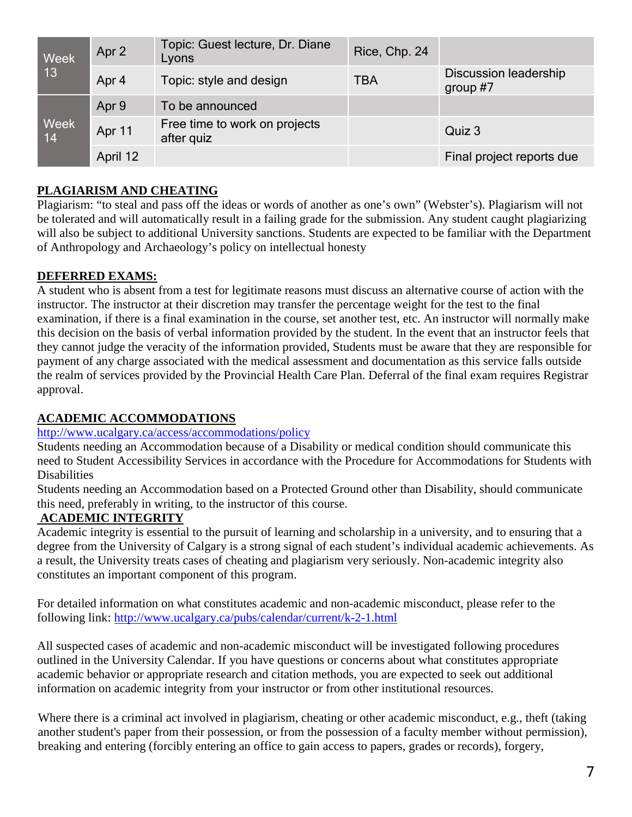| Week<br> 13 | Apr 2    | Topic: Guest lecture, Dr. Diane<br>Lyons    | Rice, Chp. 24 |                                            |
|-------------|----------|---------------------------------------------|---------------|--------------------------------------------|
|             | Apr 4    | Topic: style and design                     | <b>TBA</b>    | <b>Discussion leadership</b><br>group $#7$ |
| Week<br>14  | Apr 9    | To be announced                             |               |                                            |
|             | Apr 11   | Free time to work on projects<br>after quiz |               | Quiz 3                                     |
|             | April 12 |                                             |               | Final project reports due                  |

## **PLAGIARISM AND CHEATING**

Plagiarism: "to steal and pass off the ideas or words of another as one's own" (Webster's). Plagiarism will not be tolerated and will automatically result in a failing grade for the submission. Any student caught plagiarizing will also be subject to additional University sanctions. Students are expected to be familiar with the Department of Anthropology and Archaeology's policy on intellectual honesty

### **DEFERRED EXAMS:**

A student who is absent from a test for legitimate reasons must discuss an alternative course of action with the instructor. The instructor at their discretion may transfer the percentage weight for the test to the final examination, if there is a final examination in the course, set another test, etc. An instructor will normally make this decision on the basis of verbal information provided by the student. In the event that an instructor feels that they cannot judge the veracity of the information provided, Students must be aware that they are responsible for payment of any charge associated with the medical assessment and documentation as this service falls outside the realm of services provided by the Provincial Health Care Plan. Deferral of the final exam requires Registrar approval.

### **ACADEMIC ACCOMMODATIONS**

#### <http://www.ucalgary.ca/access/accommodations/policy>

Students needing an Accommodation because of a Disability or medical condition should communicate this need to Student Accessibility Services in accordance with the Procedure for Accommodations for Students with **Disabilities** 

Students needing an Accommodation based on a Protected Ground other than Disability, should communicate this need, preferably in writing, to the instructor of this course.

### **ACADEMIC INTEGRITY**

Academic integrity is essential to the pursuit of learning and scholarship in a university, and to ensuring that a degree from the University of Calgary is a strong signal of each student's individual academic achievements. As a result, the University treats cases of cheating and plagiarism very seriously. Non-academic integrity also constitutes an important component of this program.

For detailed information on what constitutes academic and non-academic misconduct, please refer to the following link:<http://www.ucalgary.ca/pubs/calendar/current/k-2-1.html>

All suspected cases of academic and non-academic misconduct will be investigated following procedures outlined in the University Calendar. If you have questions or concerns about what constitutes appropriate academic behavior or appropriate research and citation methods, you are expected to seek out additional information on academic integrity from your instructor or from other institutional resources.

Where there is a criminal act involved in plagiarism, cheating or other academic misconduct, e.g., theft (taking another student's paper from their possession, or from the possession of a faculty member without permission), breaking and entering (forcibly entering an office to gain access to papers, grades or records), forgery,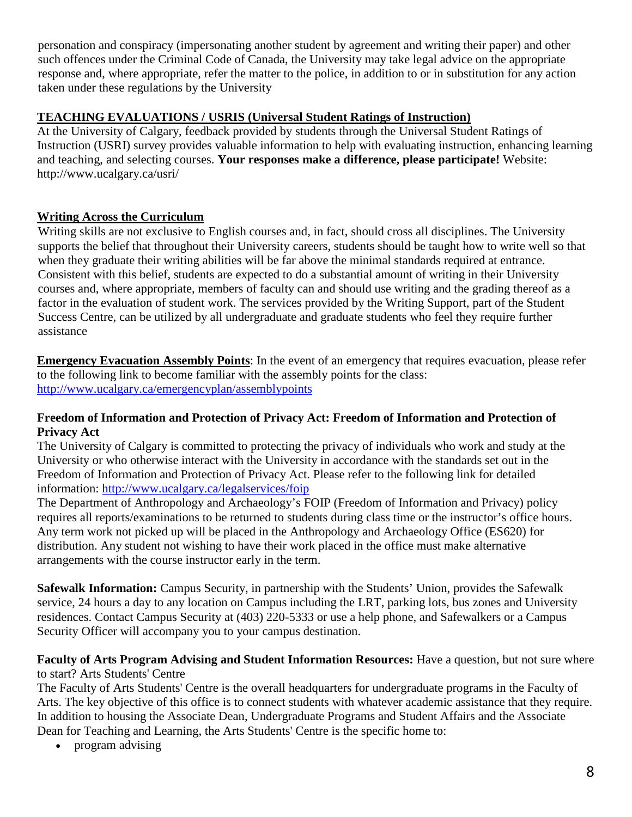personation and conspiracy (impersonating another student by agreement and writing their paper) and other such offences under the Criminal Code of Canada, the University may take legal advice on the appropriate response and, where appropriate, refer the matter to the police, in addition to or in substitution for any action taken under these regulations by the University

### **TEACHING EVALUATIONS / USRIS (Universal Student Ratings of Instruction)**

At the University of Calgary, feedback provided by students through the Universal Student Ratings of Instruction (USRI) survey provides valuable information to help with evaluating instruction, enhancing learning and teaching, and selecting courses. **Your responses make a difference, please participate!** Website: http://www.ucalgary.ca/usri/

### **Writing Across the Curriculum**

Writing skills are not exclusive to English courses and, in fact, should cross all disciplines. The University supports the belief that throughout their University careers, students should be taught how to write well so that when they graduate their writing abilities will be far above the minimal standards required at entrance. Consistent with this belief, students are expected to do a substantial amount of writing in their University courses and, where appropriate, members of faculty can and should use writing and the grading thereof as a factor in the evaluation of student work. The services provided by the Writing Support, part of the Student Success Centre, can be utilized by all undergraduate and graduate students who feel they require further assistance

**Emergency Evacuation Assembly Points**: In the event of an emergency that requires evacuation, please refer to the following link to become familiar with the assembly points for the class: <http://www.ucalgary.ca/emergencyplan/assemblypoints>

#### **Freedom of Information and Protection of Privacy Act: Freedom of Information and Protection of Privacy Act**

The University of Calgary is committed to protecting the privacy of individuals who work and study at the University or who otherwise interact with the University in accordance with the standards set out in the Freedom of Information and Protection of Privacy Act. Please refer to the following link for detailed information:<http://www.ucalgary.ca/legalservices/foip>

The Department of Anthropology and Archaeology's FOIP (Freedom of Information and Privacy) policy requires all reports/examinations to be returned to students during class time or the instructor's office hours. Any term work not picked up will be placed in the Anthropology and Archaeology Office (ES620) for distribution. Any student not wishing to have their work placed in the office must make alternative arrangements with the course instructor early in the term.

**Safewalk Information:** Campus Security, in partnership with the Students' Union, provides the Safewalk service, 24 hours a day to any location on Campus including the LRT, parking lots, bus zones and University residences. Contact Campus Security at (403) 220-5333 or use a help phone, and Safewalkers or a Campus Security Officer will accompany you to your campus destination.

#### **Faculty of Arts Program Advising and Student Information Resources:** Have a question, but not sure where to start? Arts Students' Centre

The Faculty of Arts Students' Centre is the overall headquarters for undergraduate programs in the Faculty of Arts. The key objective of this office is to connect students with whatever academic assistance that they require. In addition to housing the Associate Dean, Undergraduate Programs and Student Affairs and the Associate Dean for Teaching and Learning, the Arts Students' Centre is the specific home to:

• program advising